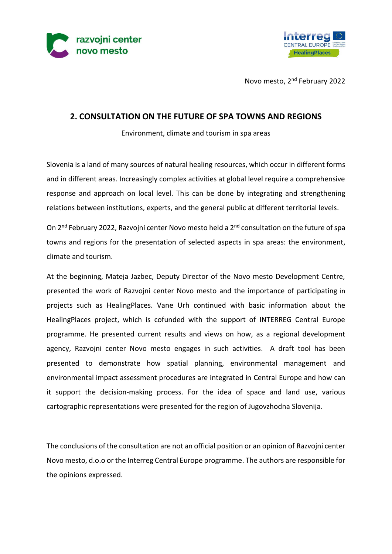



Novo mesto, 2nd February 2022

## **2. CONSULTATION ON THE FUTURE OF SPA TOWNS AND REGIONS**

Environment, climate and tourism in spa areas

Slovenia is a land of many sources of natural healing resources, which occur in different forms and in different areas. Increasingly complex activities at global level require a comprehensive response and approach on local level. This can be done by integrating and strengthening relations between institutions, experts, and the general public at different territorial levels.

On 2<sup>nd</sup> February 2022, Razvojni center Novo mesto held a 2<sup>nd</sup> consultation on the future of spa towns and regions for the presentation of selected aspects in spa areas: the environment, climate and tourism.

At the beginning, Mateja Jazbec, Deputy Director of the Novo mesto Development Centre, presented the work of Razvojni center Novo mesto and the importance of participating in projects such as HealingPlaces. Vane Urh continued with basic information about the HealingPlaces project, which is cofunded with the support of INTERREG Central Europe programme. He presented current results and views on how, as a regional development agency, Razvojni center Novo mesto engages in such activities. A draft tool has been presented to demonstrate how spatial planning, environmental management and environmental impact assessment procedures are integrated in Central Europe and how can it support the decision-making process. For the idea of space and land use, various cartographic representations were presented for the region of Jugovzhodna Slovenija.

The conclusions of the consultation are not an official position or an opinion of Razvojni center Novo mesto, d.o.o or the Interreg Central Europe programme. The authors are responsible for the opinions expressed.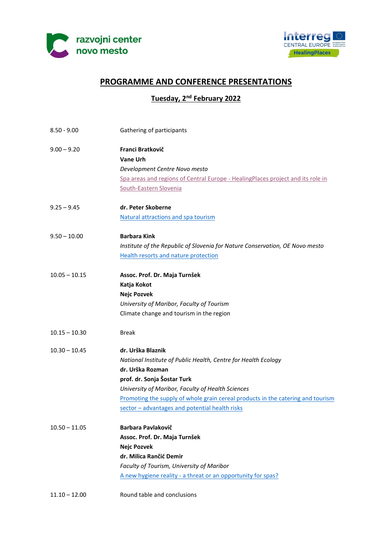



# **PROGRAMME AND CONFERENCE PRESENTATIONS**

**Tuesday, 2 nd February 2022**

| $8.50 - 9.00$   | Gathering of participants                                                                                                                                                                                                                                                                                                        |
|-----------------|----------------------------------------------------------------------------------------------------------------------------------------------------------------------------------------------------------------------------------------------------------------------------------------------------------------------------------|
| $9.00 - 9.20$   | Franci Bratkovič<br><b>Vane Urh</b><br>Development Centre Novo mesto<br>Spa areas and regions of Central Europe - HealingPlaces project and its role in<br>South-Eastern Slovenia                                                                                                                                                |
| $9.25 - 9.45$   | dr. Peter Skoberne<br>Natural attractions and spa tourism                                                                                                                                                                                                                                                                        |
| $9.50 - 10.00$  | <b>Barbara Kink</b><br>Institute of the Republic of Slovenia for Nature Conservation, OE Novo mesto<br>Health resorts and nature protection                                                                                                                                                                                      |
| $10.05 - 10.15$ | Assoc. Prof. Dr. Maja Turnšek<br>Katja Kokot<br><b>Nejc Pozvek</b><br>University of Maribor, Faculty of Tourism<br>Climate change and tourism in the region                                                                                                                                                                      |
| $10.15 - 10.30$ | <b>Break</b>                                                                                                                                                                                                                                                                                                                     |
| $10.30 - 10.45$ | dr. Urška Blaznik<br>National Institute of Public Health, Centre for Health Ecology<br>dr. Urška Rozman<br>prof. dr. Sonja Šostar Turk<br>University of Maribor, Faculty of Health Sciences<br>Promoting the supply of whole grain cereal products in the catering and tourism<br>sector - advantages and potential health risks |
| $10.50 - 11.05$ | <b>Barbara Pavlakovič</b><br>Assoc. Prof. Dr. Maja Turnšek<br><b>Nejc Pozvek</b><br>dr. Milica Rančić Demir<br>Faculty of Tourism, University of Maribor<br>A new hygiene reality - a threat or an opportunity for spas?                                                                                                         |
| $11.10 - 12.00$ | Round table and conclusions                                                                                                                                                                                                                                                                                                      |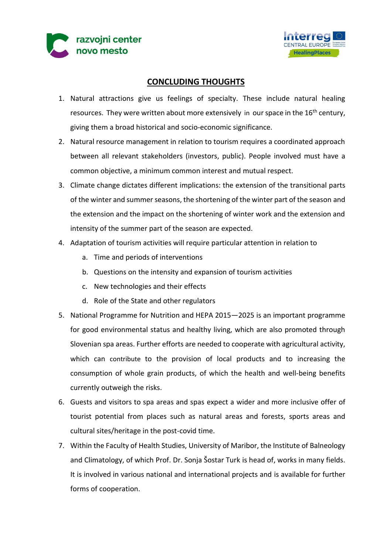



# **CONCLUDING THOUGHTS**

- 1. Natural attractions give us feelings of specialty. These include natural healing resources. They were written about more extensively in our space in the 16<sup>th</sup> century, giving them a broad historical and socio-economic significance.
- 2. Natural resource management in relation to tourism requires a coordinated approach between all relevant stakeholders (investors, public). People involved must have a common objective, a minimum common interest and mutual respect.
- 3. Climate change dictates different implications: the extension of the transitional parts of the winter and summer seasons, the shortening of the winter part of the season and the extension and the impact on the shortening of winter work and the extension and intensity of the summer part of the season are expected.
- 4. Adaptation of tourism activities will require particular attention in relation to
	- a. Time and periods of interventions
	- b. Questions on the intensity and expansion of tourism activities
	- c. New technologies and their effects
	- d. Role of the State and other regulators
- 5. National Programme for Nutrition and HEPA 2015—2025 is an important programme for good environmental status and healthy living, which are also promoted through Slovenian spa areas. Further efforts are needed to cooperate with agricultural activity, which can contribute to the provision of local products and to increasing the consumption of whole grain products, of which the health and well-being benefits currently outweigh the risks.
- 6. Guests and visitors to spa areas and spas expect a wider and more inclusive offer of tourist potential from places such as natural areas and forests, sports areas and cultural sites/heritage in the post-covid time.
- 7. Within the Faculty of Health Studies, University of Maribor, the Institute of Balneology and Climatology, of which Prof. Dr. Sonja Šostar Turk is head of, works in many fields. It is involved in various national and international projects and is available for further forms of cooperation.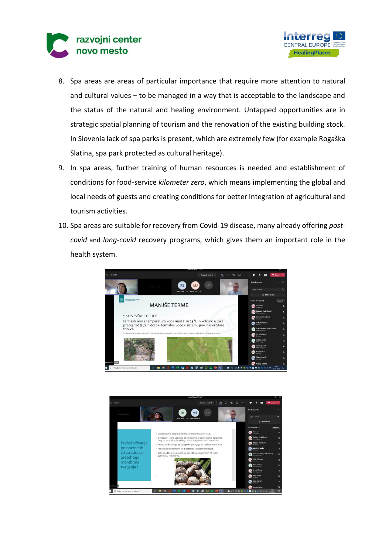



- 8. Spa areas are areas of particular importance that require more attention to natural and cultural values – to be managed in a way that is acceptable to the landscape and the status of the natural and healing environment. Untapped opportunities are in strategic spatial planning of tourism and the renovation of the existing building stock. In Slovenia lack of spa parks is present, which are extremely few (for example Rogaška Slatina, spa park protected as cultural heritage).
- 9. In spa areas, further training of human resources is needed and establishment of conditions for food-service *kilometer zero*, which means implementing the global and local needs of guests and creating conditions for better integration of agricultural and tourism activities.
- 10. Spa areas are suitable for recovery from Covid-19 disease, many already offering *postcovid* and *long-covid* recovery programs, which gives them an important role in the health system.



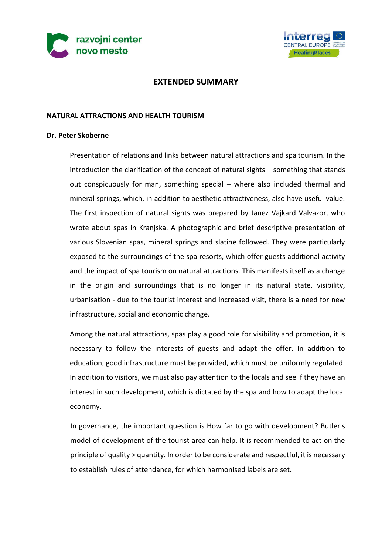



## **EXTENDED SUMMARY**

#### **NATURAL ATTRACTIONS AND HEALTH TOURISM**

#### **Dr. Peter Skoberne**

Presentation of relations and links between natural attractions and spa tourism. In the introduction the clarification of the concept of natural sights – something that stands out conspicuously for man, something special – where also included thermal and mineral springs, which, in addition to aesthetic attractiveness, also have useful value. The first inspection of natural sights was prepared by Janez Vajkard Valvazor, who wrote about spas in Kranjska. A photographic and brief descriptive presentation of various Slovenian spas, mineral springs and slatine followed. They were particularly exposed to the surroundings of the spa resorts, which offer guests additional activity and the impact of spa tourism on natural attractions. This manifests itself as a change in the origin and surroundings that is no longer in its natural state, visibility, urbanisation - due to the tourist interest and increased visit, there is a need for new infrastructure, social and economic change.

Among the natural attractions, spas play a good role for visibility and promotion, it is necessary to follow the interests of guests and adapt the offer. In addition to education, good infrastructure must be provided, which must be uniformly regulated. In addition to visitors, we must also pay attention to the locals and see if they have an interest in such development, which is dictated by the spa and how to adapt the local economy.

In governance, the important question is How far to go with development? Butler's model of development of the tourist area can help. It is recommended to act on the principle of quality > quantity. In order to be considerate and respectful, it is necessary to establish rules of attendance, for which harmonised labels are set.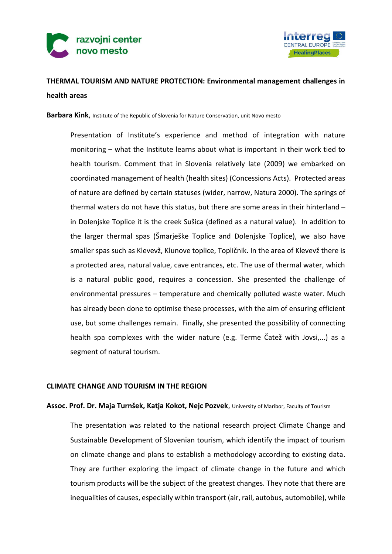



# **THERMAL TOURISM AND NATURE PROTECTION: Environmental management challenges in health areas**

**Barbara Kink**, Institute of the Republic of Slovenia for Nature Conservation, unit Novo mesto

Presentation of Institute's experience and method of integration with nature monitoring – what the Institute learns about what is important in their work tied to health tourism. Comment that in Slovenia relatively late (2009) we embarked on coordinated management of health (health sites) (Concessions Acts). Protected areas of nature are defined by certain statuses (wider, narrow, Natura 2000). The springs of thermal waters do not have this status, but there are some areas in their hinterland – in Dolenjske Toplice it is the creek Sušica (defined as a natural value). In addition to the larger thermal spas (Šmarješke Toplice and Dolenjske Toplice), we also have smaller spas such as Klevevž, Klunove toplice, Topličnik. In the area of Klevevž there is a protected area, natural value, cave entrances, etc. The use of thermal water, which is a natural public good, requires a concession. She presented the challenge of environmental pressures – temperature and chemically polluted waste water. Much has already been done to optimise these processes, with the aim of ensuring efficient use, but some challenges remain. Finally, she presented the possibility of connecting health spa complexes with the wider nature (e.g. Terme Čatež with Jovsi,...) as a segment of natural tourism.

#### **CLIMATE CHANGE AND TOURISM IN THE REGION**

### **Assoc. Prof. Dr. Maja Turnšek, Katja Kokot, Nejc Pozvek**, University of Maribor, Faculty of Tourism

The presentation was related to the national research project Climate Change and Sustainable Development of Slovenian tourism, which identify the impact of tourism on climate change and plans to establish a methodology according to existing data. They are further exploring the impact of climate change in the future and which tourism products will be the subject of the greatest changes. They note that there are inequalities of causes, especially within transport (air, rail, autobus, automobile), while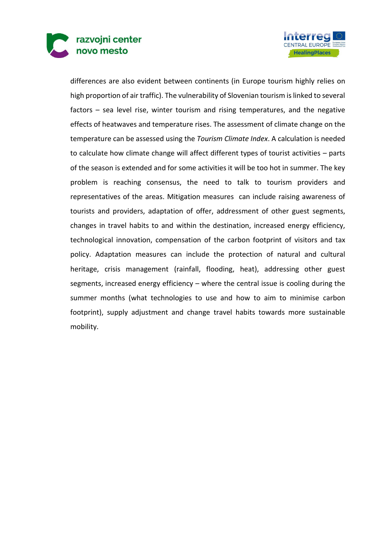



differences are also evident between continents (in Europe tourism highly relies on high proportion of air traffic). The vulnerability of Slovenian tourism is linked to several factors – sea level rise, winter tourism and rising temperatures, and the negative effects of heatwaves and temperature rises. The assessment of climate change on the temperature can be assessed using the *Tourism Climate Index*. A calculation is needed to calculate how climate change will affect different types of tourist activities – parts of the season is extended and for some activities it will be too hot in summer. The key problem is reaching consensus, the need to talk to tourism providers and representatives of the areas. Mitigation measures can include raising awareness of tourists and providers, adaptation of offer, addressment of other guest segments, changes in travel habits to and within the destination, increased energy efficiency, technological innovation, compensation of the carbon footprint of visitors and tax policy. Adaptation measures can include the protection of natural and cultural heritage, crisis management (rainfall, flooding, heat), addressing other guest segments, increased energy efficiency – where the central issue is cooling during the summer months (what technologies to use and how to aim to minimise carbon footprint), supply adjustment and change travel habits towards more sustainable mobility.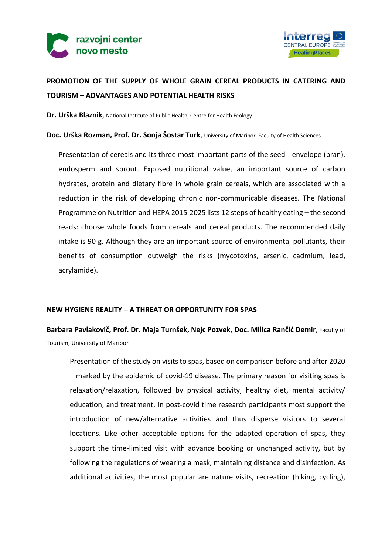



# **PROMOTION OF THE SUPPLY OF WHOLE GRAIN CEREAL PRODUCTS IN CATERING AND TOURISM – ADVANTAGES AND POTENTIAL HEALTH RISKS**

**Dr. Urška Blaznik**, National Institute of Public Health, Centre for Health Ecology

#### **Doc. Urška Rozman, Prof. Dr. Sonja Šostar Turk**, University of Maribor, Faculty of Health Sciences

Presentation of cereals and its three most important parts of the seed - envelope (bran), endosperm and sprout. Exposed nutritional value, an important source of carbon hydrates, protein and dietary fibre in whole grain cereals, which are associated with a reduction in the risk of developing chronic non-communicable diseases. The National Programme on Nutrition and HEPA 2015-2025 lists 12 steps of healthy eating – the second reads: choose whole foods from cereals and cereal products. The recommended daily intake is 90 g. Although they are an important source of environmental pollutants, their benefits of consumption outweigh the risks (mycotoxins, arsenic, cadmium, lead, acrylamide).

### **NEW HYGIENE REALITY – A THREAT OR OPPORTUNITY FOR SPAS**

**Barbara Pavlakovič, Prof. Dr. Maja Turnšek, Nejc Pozvek, Doc. Milica Rančić Demir**, Faculty of Tourism, University of Maribor

Presentation of the study on visits to spas, based on comparison before and after 2020 – marked by the epidemic of covid-19 disease. The primary reason for visiting spas is relaxation/relaxation, followed by physical activity, healthy diet, mental activity/ education, and treatment. In post-covid time research participants most support the introduction of new/alternative activities and thus disperse visitors to several locations. Like other acceptable options for the adapted operation of spas, they support the time-limited visit with advance booking or unchanged activity, but by following the regulations of wearing a mask, maintaining distance and disinfection. As additional activities, the most popular are nature visits, recreation (hiking, cycling),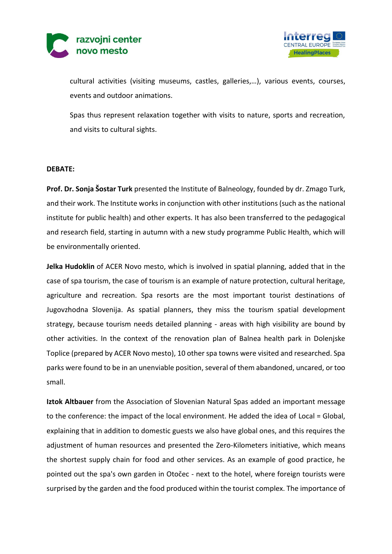



cultural activities (visiting museums, castles, galleries,…), various events, courses, events and outdoor animations.

Spas thus represent relaxation together with visits to nature, sports and recreation, and visits to cultural sights.

#### **DEBATE:**

**Prof. Dr. Sonja Šostar Turk** presented the Institute of Balneology, founded by dr. Zmago Turk, and their work. The Institute works in conjunction with other institutions (such as the national institute for public health) and other experts. It has also been transferred to the pedagogical and research field, starting in autumn with a new study programme Public Health, which will be environmentally oriented.

**Jelka Hudoklin** of ACER Novo mesto, which is involved in spatial planning, added that in the case of spa tourism, the case of tourism is an example of nature protection, cultural heritage, agriculture and recreation. Spa resorts are the most important tourist destinations of Jugovzhodna Slovenija. As spatial planners, they miss the tourism spatial development strategy, because tourism needs detailed planning - areas with high visibility are bound by other activities. In the context of the renovation plan of Balnea health park in Dolenjske Toplice (prepared by ACER Novo mesto), 10 other spa towns were visited and researched. Spa parks were found to be in an unenviable position, several of them abandoned, uncared, or too small.

**Iztok Altbauer** from the Association of Slovenian Natural Spas added an important message to the conference: the impact of the local environment. He added the idea of Local = Global, explaining that in addition to domestic guests we also have global ones, and this requires the adjustment of human resources and presented the Zero-Kilometers initiative, which means the shortest supply chain for food and other services. As an example of good practice, he pointed out the spa's own garden in Otočec - next to the hotel, where foreign tourists were surprised by the garden and the food produced within the tourist complex. The importance of